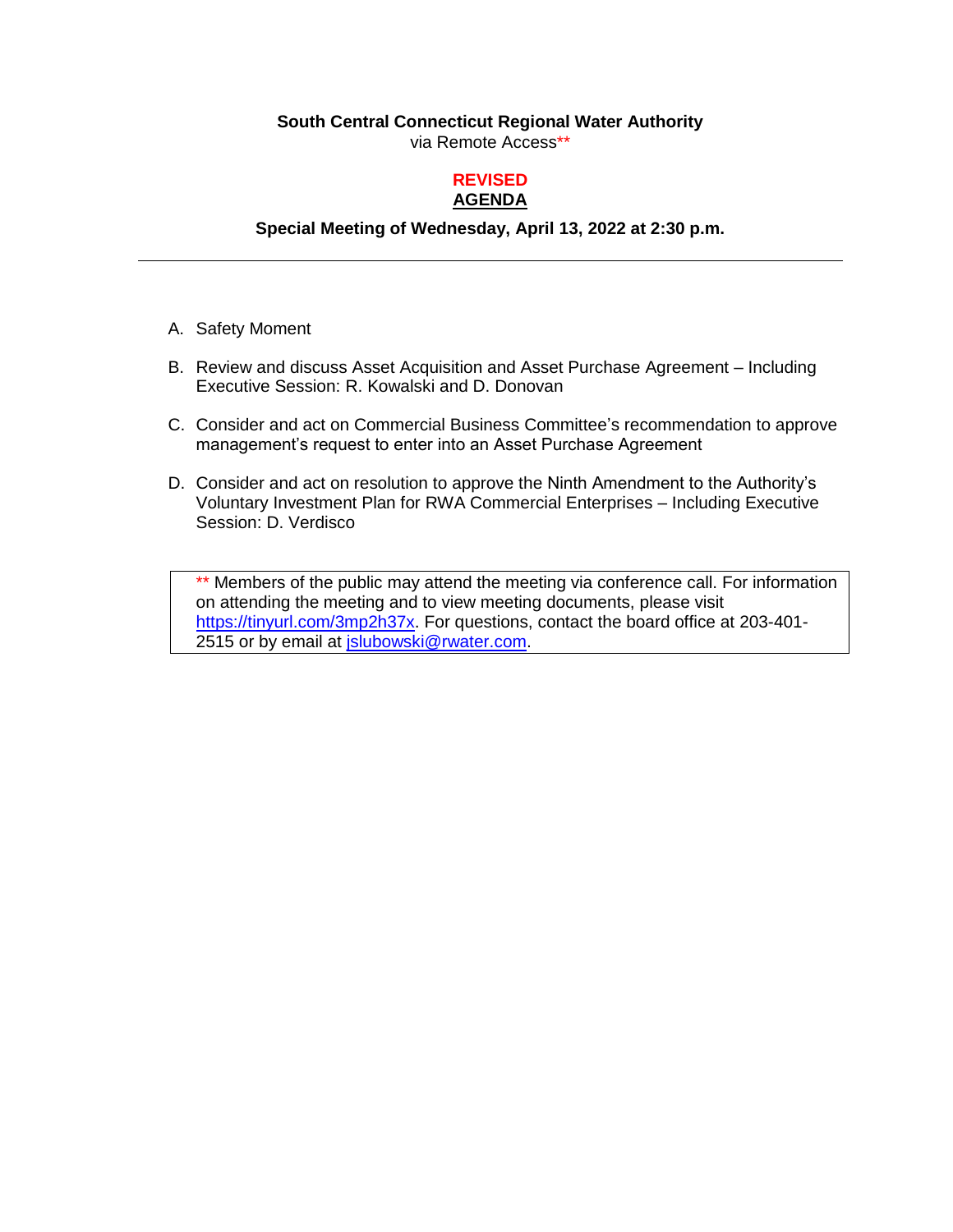### **South Central Connecticut Regional Water Authority**

via Remote Access\*\*

### **REVISED AGENDA**

## **Special Meeting of Wednesday, April 13, 2022 at 2:30 p.m.**

- A. Safety Moment
- B. Review and discuss Asset Acquisition and Asset Purchase Agreement Including Executive Session: R. Kowalski and D. Donovan
- C. Consider and act on Commercial Business Committee's recommendation to approve management's request to enter into an Asset Purchase Agreement
- D. Consider and act on resolution to approve the Ninth Amendment to the Authority's Voluntary Investment Plan for RWA Commercial Enterprises – Including Executive Session: D. Verdisco

\*\* Members of the public may attend the meeting via conference call. For information on attending the meeting and to view meeting documents, please visit [https://tinyurl.com/3mp2h37x.](https://tinyurl.com/3mp2h37x) For questions, contact the board office at 203-401-2515 or by email at *jslubowski@rwater.com*.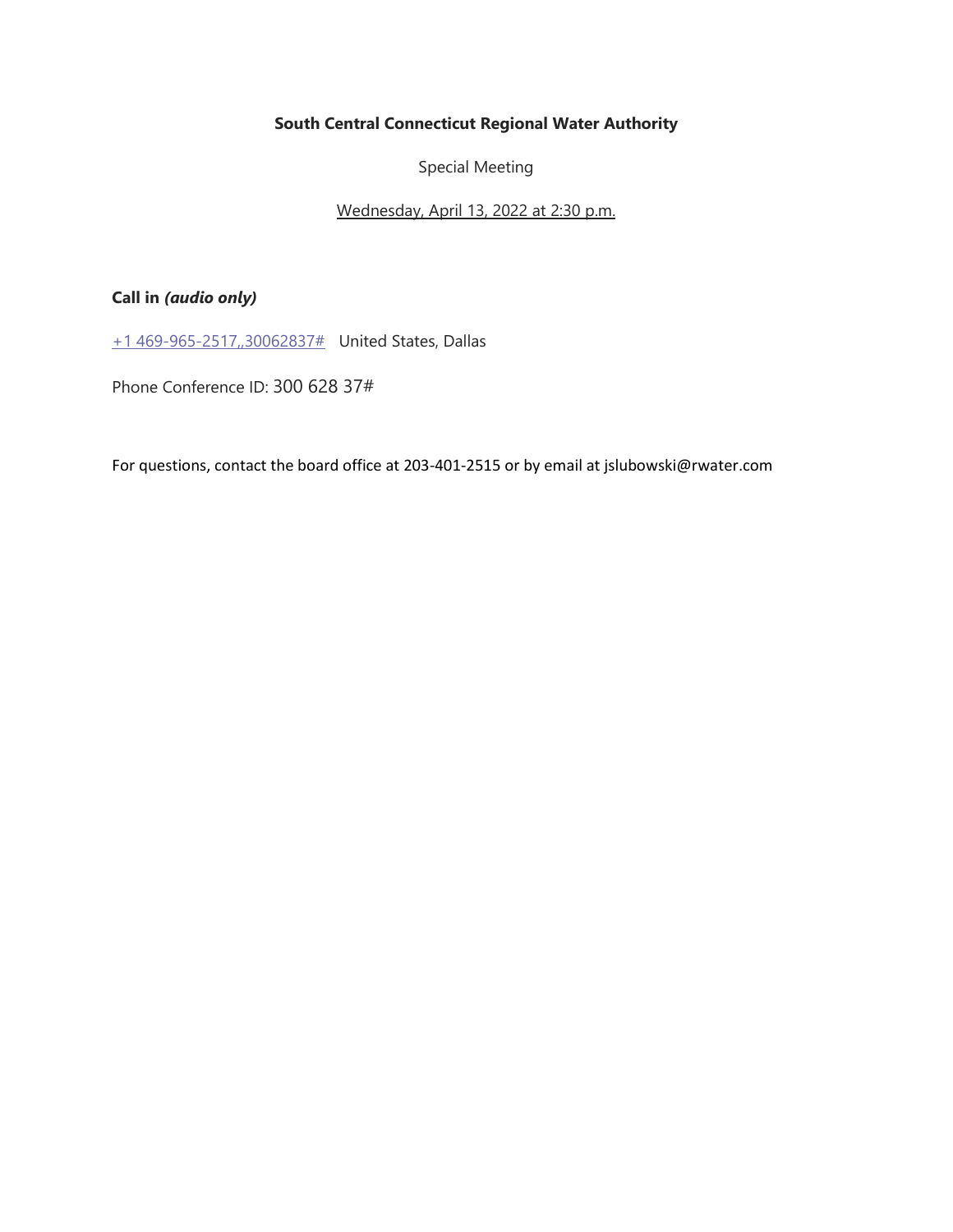### **South Central Connecticut Regional Water Authority**

Special Meeting

Wednesday, April 13, 2022 at 2:30 p.m.

## **Call in** *(audio only)*

[+1 469-965-2517,,30062837#](tel:+14699652517,,30062837# ) United States, Dallas

Phone Conference ID: 300 628 37#

For questions, contact the board office at 203-401-2515 or by email at jslubowski@rwater.com